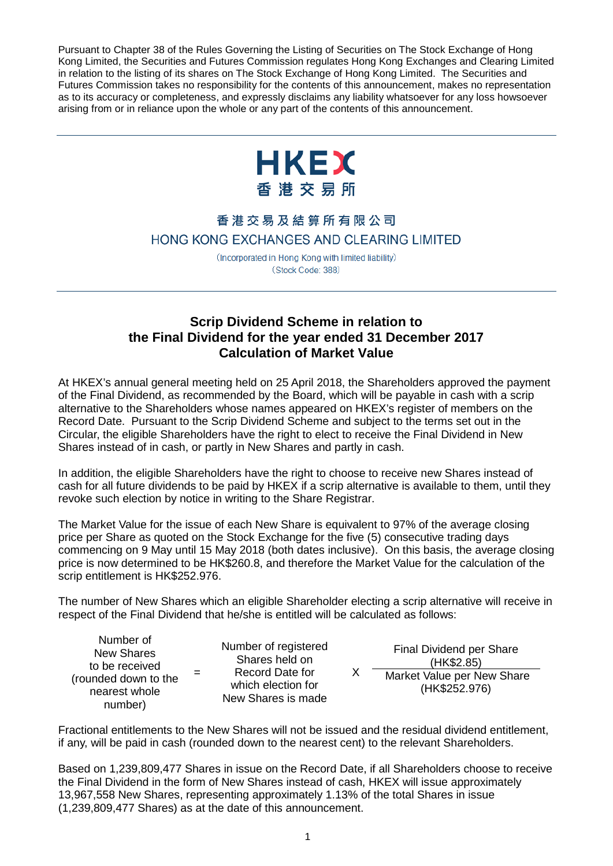Pursuant to Chapter 38 of the Rules Governing the Listing of Securities on The Stock Exchange of Hong Kong Limited, the Securities and Futures Commission regulates Hong Kong Exchanges and Clearing Limited in relation to the listing of its shares on The Stock Exchange of Hong Kong Limited. The Securities and Futures Commission takes no responsibility for the contents of this announcement, makes no representation as to its accuracy or completeness, and expressly disclaims any liability whatsoever for any loss howsoever arising from or in reliance upon the whole or any part of the contents of this announcement.



## 香港交易及結算所有限公司 HONG KONG EXCHANGES AND CLEARING LIMITED

(Incorporated in Hong Kong with limited liability) (Stock Code: 388)

## **Scrip Dividend Scheme in relation to the Final Dividend for the year ended 31 December 2017 Calculation of Market Value**

At HKEX's annual general meeting held on 25 April 2018, the Shareholders approved the payment of the Final Dividend, as recommended by the Board, which will be payable in cash with a scrip alternative to the Shareholders whose names appeared on HKEX's register of members on the Record Date. Pursuant to the Scrip Dividend Scheme and subject to the terms set out in the Circular, the eligible Shareholders have the right to elect to receive the Final Dividend in New Shares instead of in cash, or partly in New Shares and partly in cash.

In addition, the eligible Shareholders have the right to choose to receive new Shares instead of cash for all future dividends to be paid by HKEX if a scrip alternative is available to them, until they revoke such election by notice in writing to the Share Registrar.

The Market Value for the issue of each New Share is equivalent to 97% of the average closing price per Share as quoted on the Stock Exchange for the five (5) consecutive trading days commencing on 9 May until 15 May 2018 (both dates inclusive). On this basis, the average closing price is now determined to be HK\$260.8, and therefore the Market Value for the calculation of the scrip entitlement is HK\$252.976.

The number of New Shares which an eligible Shareholder electing a scrip alternative will receive in respect of the Final Dividend that he/she is entitled will be calculated as follows:

Number of registered Shares held on Record Date for which election for New Shares is made

X Final Dividend per Share (HK\$2.85) Market Value per New Share (HK\$252.976)

Fractional entitlements to the New Shares will not be issued and the residual dividend entitlement, if any, will be paid in cash (rounded down to the nearest cent) to the relevant Shareholders.

Based on 1,239,809,477 Shares in issue on the Record Date, if all Shareholders choose to receive the Final Dividend in the form of New Shares instead of cash, HKEX will issue approximately 13,967,558 New Shares, representing approximately 1.13% of the total Shares in issue (1,239,809,477 Shares) as at the date of this announcement.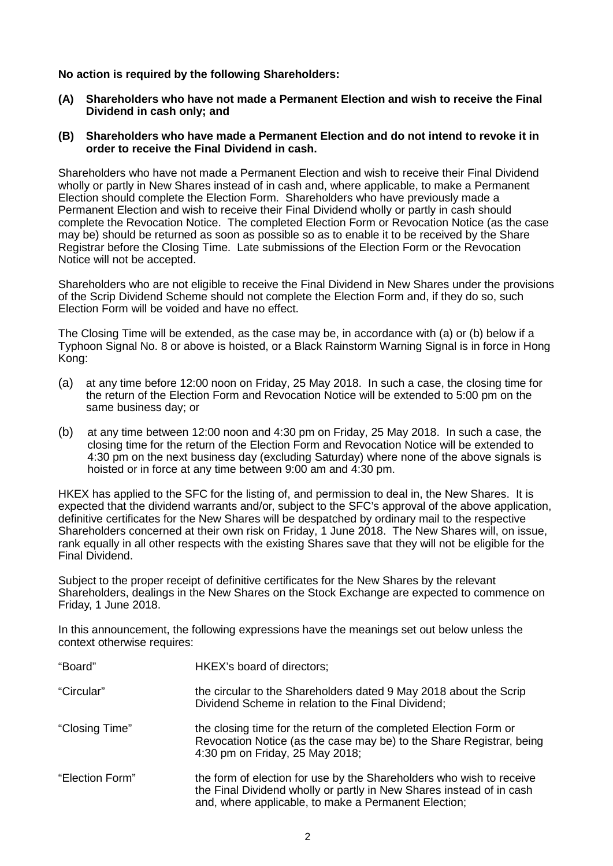**No action is required by the following Shareholders:**

- **(A) Shareholders who have not made a Permanent Election and wish to receive the Final Dividend in cash only; and**
- **(B) Shareholders who have made a Permanent Election and do not intend to revoke it in order to receive the Final Dividend in cash.**

Shareholders who have not made a Permanent Election and wish to receive their Final Dividend wholly or partly in New Shares instead of in cash and, where applicable, to make a Permanent Election should complete the Election Form. Shareholders who have previously made a Permanent Election and wish to receive their Final Dividend wholly or partly in cash should complete the Revocation Notice. The completed Election Form or Revocation Notice (as the case may be) should be returned as soon as possible so as to enable it to be received by the Share Registrar before the Closing Time. Late submissions of the Election Form or the Revocation Notice will not be accepted.

Shareholders who are not eligible to receive the Final Dividend in New Shares under the provisions of the Scrip Dividend Scheme should not complete the Election Form and, if they do so, such Election Form will be voided and have no effect.

The Closing Time will be extended, as the case may be, in accordance with (a) or (b) below if a Typhoon Signal No. 8 or above is hoisted, or a Black Rainstorm Warning Signal is in force in Hong Kong:

- (a) at any time before 12:00 noon on Friday, 25 May 2018. In such a case, the closing time for the return of the Election Form and Revocation Notice will be extended to 5:00 pm on the same business day; or
- (b) at any time between 12:00 noon and 4:30 pm on Friday, 25 May 2018. In such a case, the closing time for the return of the Election Form and Revocation Notice will be extended to 4:30 pm on the next business day (excluding Saturday) where none of the above signals is hoisted or in force at any time between 9:00 am and 4:30 pm.

HKEX has applied to the SFC for the listing of, and permission to deal in, the New Shares. It is expected that the dividend warrants and/or, subject to the SFC's approval of the above application, definitive certificates for the New Shares will be despatched by ordinary mail to the respective Shareholders concerned at their own risk on Friday, 1 June 2018. The New Shares will, on issue, rank equally in all other respects with the existing Shares save that they will not be eligible for the Final Dividend.

Subject to the proper receipt of definitive certificates for the New Shares by the relevant Shareholders, dealings in the New Shares on the Stock Exchange are expected to commence on Friday, 1 June 2018.

In this announcement, the following expressions have the meanings set out below unless the context otherwise requires:

| "Board"         | HKEX's board of directors;                                                                                                                                                                           |
|-----------------|------------------------------------------------------------------------------------------------------------------------------------------------------------------------------------------------------|
| "Circular"      | the circular to the Shareholders dated 9 May 2018 about the Scrip<br>Dividend Scheme in relation to the Final Dividend;                                                                              |
| "Closing Time"  | the closing time for the return of the completed Election Form or<br>Revocation Notice (as the case may be) to the Share Registrar, being<br>4:30 pm on Friday, 25 May 2018;                         |
| "Election Form" | the form of election for use by the Shareholders who wish to receive<br>the Final Dividend wholly or partly in New Shares instead of in cash<br>and, where applicable, to make a Permanent Election; |